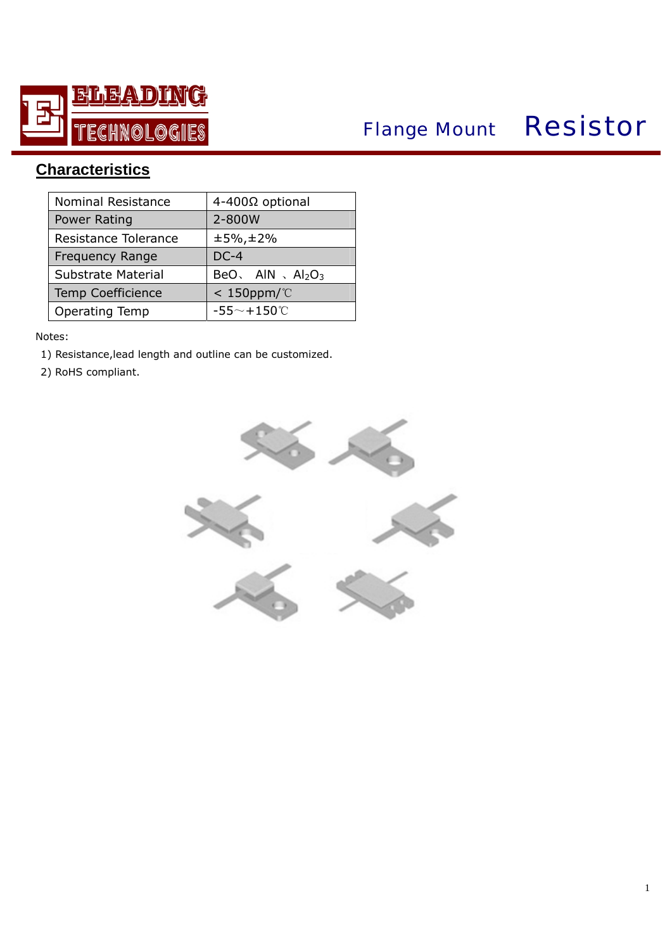

# *Flange Mount* Resistor

## **Characteristics**

| Nominal Resistance       | 4-400Ω optional          |
|--------------------------|--------------------------|
| Power Rating             | 2-800W                   |
| Resistance Tolerance     | $±5\%$ , $±2\%$          |
| <b>Frequency Range</b>   | $DC-4$                   |
| Substrate Material       | BeO, AIN, $Al_2O_3$      |
| <b>Temp Coefficience</b> | $< 150$ ppm/ $\degree$ C |
| <b>Operating Temp</b>    | $-55^\sim + 150^\circ C$ |

#### Notes:

- 1) Resistance,lead length and outline can be customized.
- 2) RoHS compliant.

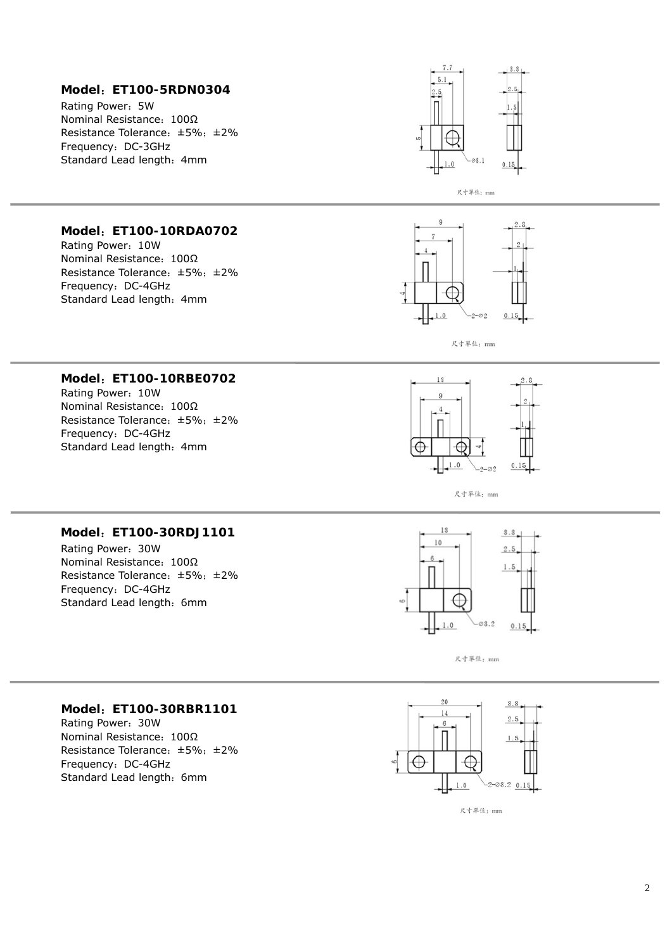#### **Model** :**ET100-5RDN0304**

Rating Power :5W Nominal Resistance: 100Ω Resistance Tolerance :±5% ;±2% Frequency :DC-3GHz Standard Lead length: 4mm



#### **Model** :**ET100-10RDA0702**

Rating Power :10W Nominal Resistance: 100Ω Resistance Tolerance :±5% ;±2% Frequency :DC-4GHz Standard Lead length: 4mm



尺寸單位: mm

#### **Model** :**ET100-10RBE0702**

Rating Power :10W Nominal Resistance: 100Ω Resistance Tolerance :±5% ;±2% Frequency :DC-4GHz Standard Lead length: 4mm



尺寸單位: mm

#### **Model** :**ET100-30RDJ1101**

Rating Power :30W Nominal Resistance: 100Ω Resistance Tolerance :±5% ;±2% Frequency :DC-4GHz Standard Lead length: 6mm



尺寸單位: mm

#### **Model** :**ET100-30RBR1101**

Rating Power :30W Nominal Resistance: 100Ω Resistance Tolerance :±5% ;±2% Frequency :DC-4GHz Standard Lead length: 6mm

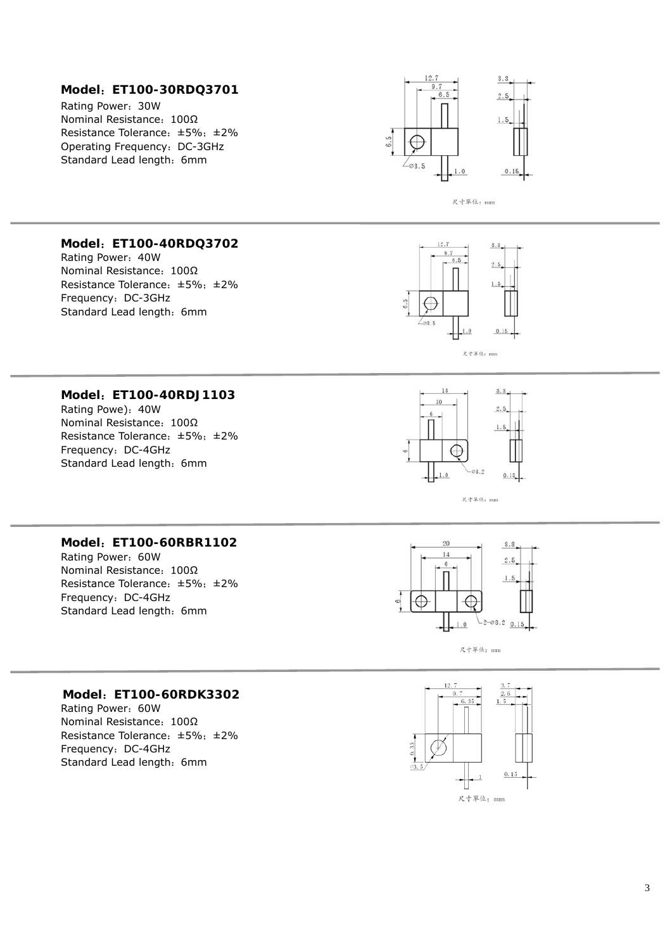#### **Model** :**ET100-30RDQ3701**

Rating Power :30W Nominal Resistance: 100Ω Resistance Tolerance :±5% ;±2% Operating Frequency :DC-3GHz Standard Lead length: 6mm



尺寸單位: mm

#### **Model** :**ET100-40RDQ3702**

Rating Power: 40W Nominal Resistance: 100Ω Resistance Tolerance: ±5%; ±2% Frequency :DC-3GHz Standard Lead length: 6mm



#### **Model** :**ET100-40RDJ1103**

Rating Powe) :40W Nominal Resistance: 100Ω Resistance Tolerance :±5% ;±2% Frequency :DC-4GHz Standard Lead length: 6mm





#### **Model** :**ET100-60RBR1102**

Rating Power :60W Nominal Resistance: 100Ω Resistance Tolerance :±5% ;±2% Frequency :DC-4GHz Standard Lead length: 6mm



尺寸單位: mm

#### **Model** :**ET100-60RDK3302**

Rating Power :60W Nominal Resistance: 100Ω Resistance Tolerance :±5% ;±2% Frequency :DC-4GHz Standard Lead length: 6mm

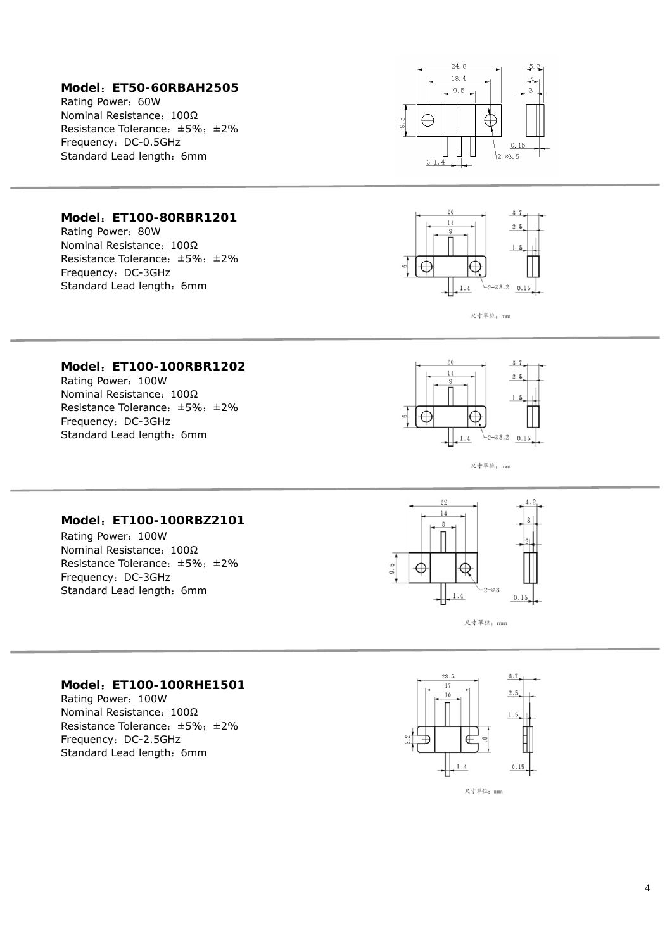#### **Model** :**ET50-60RBAH2505**

Rating Power :60W Nominal Resistance: 100Ω Resistance Tolerance: ±5%; ±2% Frequency :DC-0.5GHz Standard Lead length: 6mm



#### **Model** :**ET100-80RBR1201**

Rating Power :80W Nominal Resistance: 100Ω Resistance Tolerance :±5% ;±2% Frequency :DC-3GHz Standard Lead length: 6mm



尺寸單位: mm

#### **Model** :**ET100-100RBR1202**

Rating Power :100W Nominal Resistance: 100Ω Resistance Tolerance :±5% ;±2% Frequency :DC-3GHz Standard Lead length: 6mm



尺寸單位: mm

#### **Model** :**ET100-100RBZ2101**

Rating Power :100W Nominal Resistance: 100Ω Resistance Tolerance :±5% ;±2% Frequency :DC-3GHz Standard Lead length: 6mm



尺寸單位: mm

#### **Model** :**ET100-100RHE1501**

Rating Power :100W Nominal Resistance: 100Ω Resistance Tolerance :±5% ;±2% Frequency :DC-2.5GHz Standard Lead length: 6mm

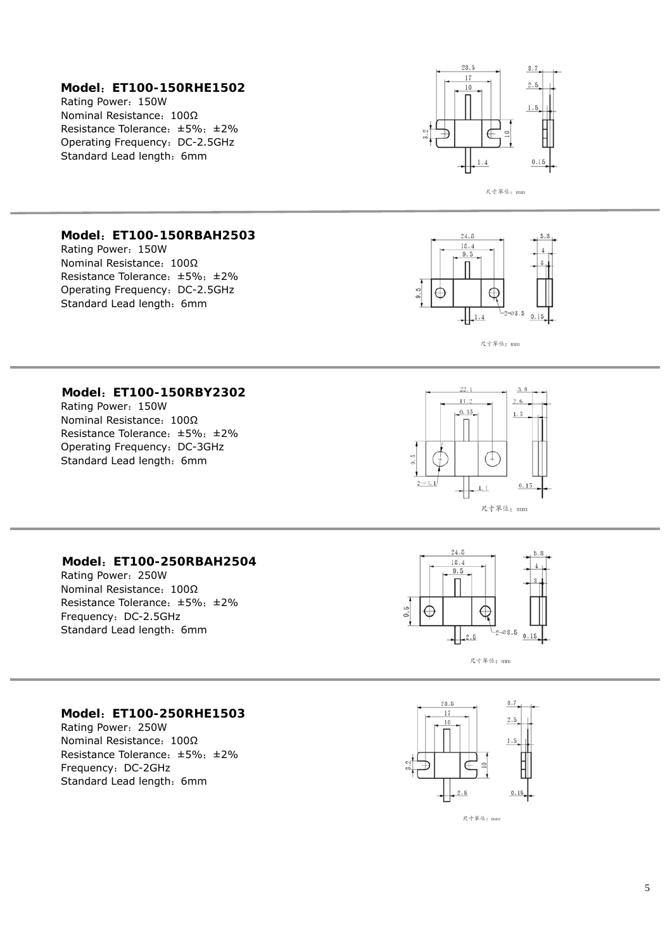#### **Model** :**ET100-150RHE1502**

Rating Power :150W Nominal Resistance: 100Ω Resistance Tolerance: ±5%; ±2% Operating Frequency :DC-2.5GHz Standard Lead length: 6mm



尺寸草位: mm

#### **Model** :**ET100-150RBAH2503**

Rating Power :150W Nominal Resistance: 100Ω Resistance Tolerance :±5% ;±2% Operating Frequency :DC-2.5GHz Standard Lead length: 6mm



尺寸單位: mm

#### **Model** :**ET100-150RBY2302**

Rating Power :150W Nominal Resistance: 100Ω Resistance Tolerance :±5% ;±2% Operating Frequency :DC-3GHz Standard Lead length: 6mm



#### **Model** :**ET100-250RBAH2504**

Rating Power :250W Nominal Resistance: 100Ω Resistance Tolerance :±5% ;±2% Frequency :DC-2.5GHz Standard Lead length: 6mm



尺寸單位: mm

#### **Model** :**ET100-250RHE1503**

Rating Power :250W Nominal Resistance: 100Ω Resistance Tolerance :±5% ;±2% Frequency :DC-2GHz Standard Lead length: 6mm

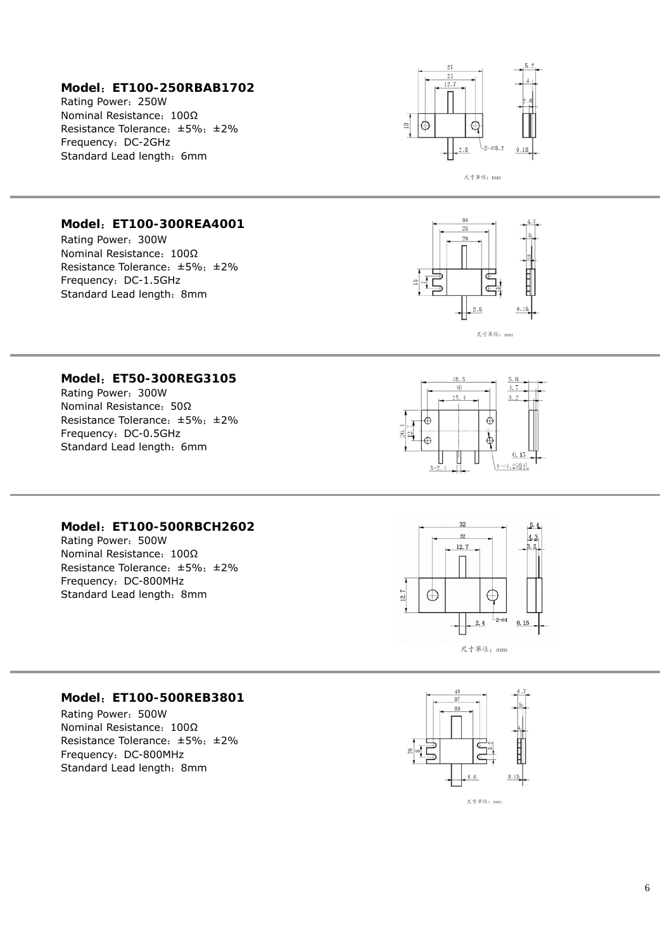#### **Model** :**ET100-250RBAB1702**

Rating Power :250W Nominal Resistance: 100Ω Resistance Tolerance: ±5%; ±2% Frequency :DC-2GHz Standard Lead length: 6mm



#### **Model** :**ET100-300REA4001**

Rating Power :300W Nominal Resistance: 100Ω Resistance Tolerance :±5% ;±2% Frequency :DC-1.5GHz Standard Lead length: 8mm



#### **Model** :**ET50-300REG3105**

Rating Power :300W Nominal Resistance: 50Ω Resistance Tolerance :±5% ;±2% Frequency :DC-0.5GHz Standard Lead length: 6mm



#### **Model** :**ET100-500RBCH2602**

Rating Power :500W Nominal Resistance: 100Ω Resistance Tolerance: ±5%; ±2% Frequency :DC-800MHz Standard Lead length: 8mm



#### **Model** :**ET100-500REB3801**

Rating Power :500W Nominal Resistance: 100Ω Resistance Tolerance :±5% ;±2% Frequency :DC-800MHz Standard Lead length: 8mm